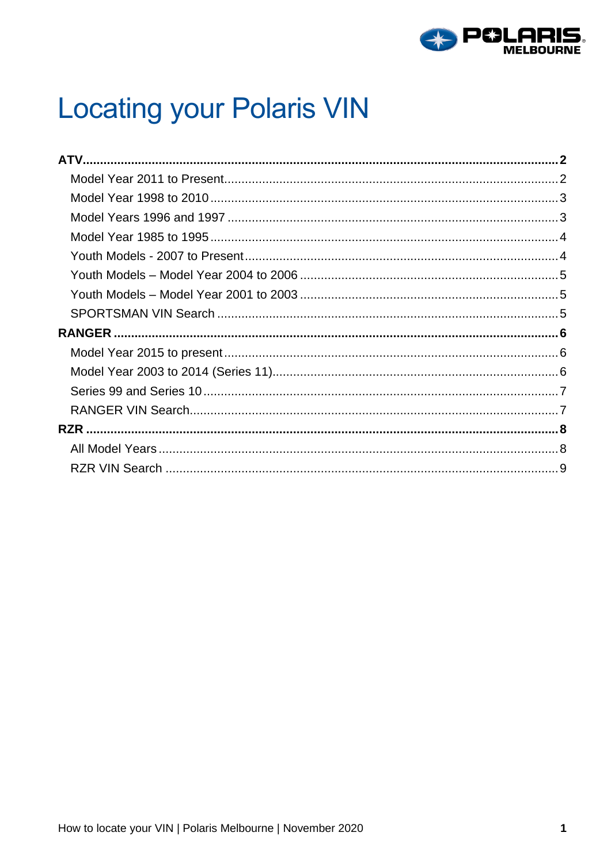

# **Locating your Polaris VIN**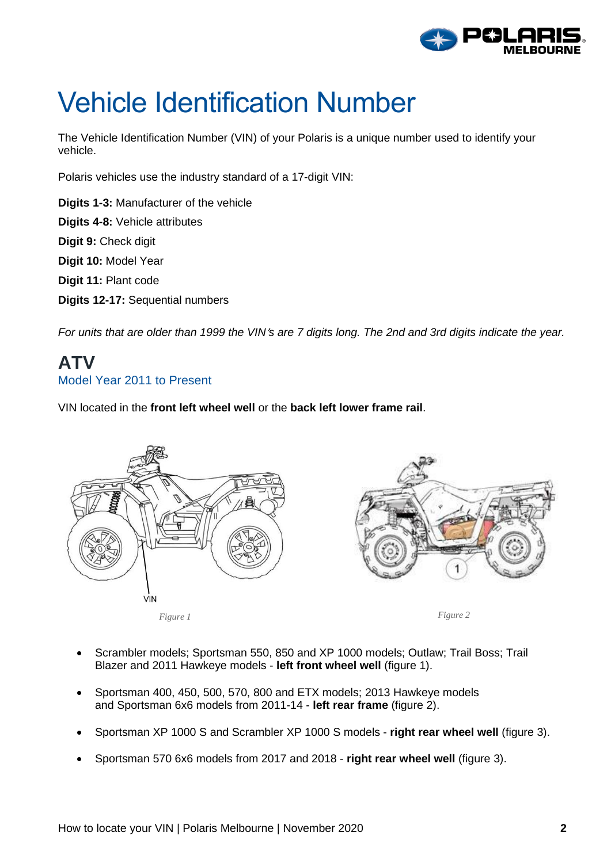

# Vehicle Identification Number

The Vehicle Identification Number (VIN) of your Polaris is a unique number used to identify your vehicle.

Polaris vehicles use the industry standard of a 17-digit VIN:

**Digits 1-3:** Manufacturer of the vehicle **Digits 4-8:** Vehicle attributes **Digit 9:** Check digit **Digit 10:** Model Year **Digit 11:** Plant code **Digits 12-17:** Sequential numbers

For units that are older than 1999 the VIN's are 7 digits long. The 2nd and 3rd digits indicate the year.

### <span id="page-1-1"></span><span id="page-1-0"></span>**ATV** Model Year 2011 to Present

VIN located in the **front left wheel well** or the **back left lower frame rail**.



- Scrambler models; Sportsman 550, 850 and XP 1000 models; Outlaw; Trail Boss; Trail Blazer and 2011 Hawkeye models - **left front wheel well** (figure 1).
- Sportsman 400, 450, 500, 570, 800 and ETX models; 2013 Hawkeye models and Sportsman 6x6 models from 2011-14 - **left rear frame** (figure 2).
- Sportsman XP 1000 S and Scrambler XP 1000 S models **right rear wheel well** (figure 3).
- Sportsman 570 6x6 models from 2017 and 2018 **right rear wheel well** (figure 3).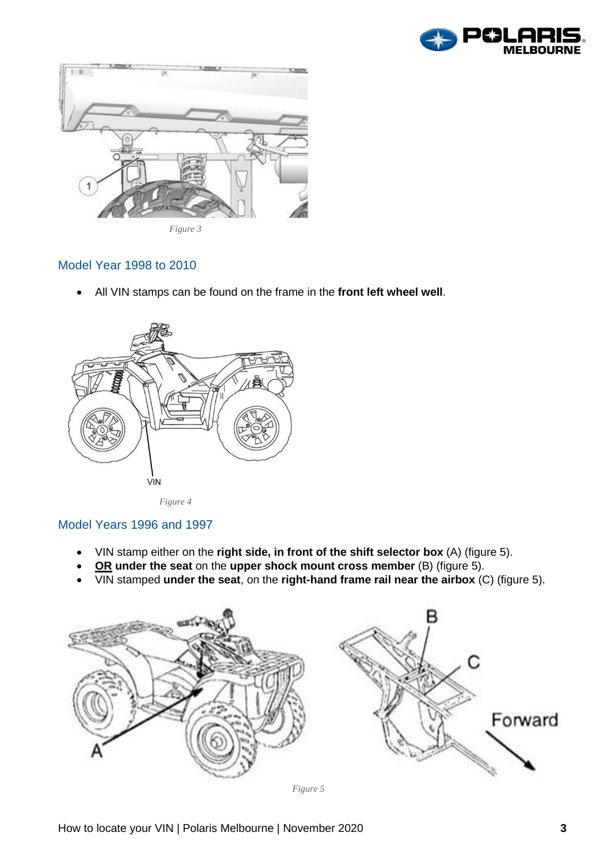



#### <span id="page-2-0"></span>Model Year 1998 to 2010

• All VIN stamps can be found on the frame in the **front left wheel well**.





#### <span id="page-2-1"></span>Model Years 1996 and 1997

- VIN stamp either on the **right side, in front of the shift selector box** (A) (figure 5).
- **OR under the seat** on the **upper shock mount cross member** (B) (figure 5).
- VIN stamped **under the seat**, on the **right-hand frame rail near the airbox** (C) (figure 5).

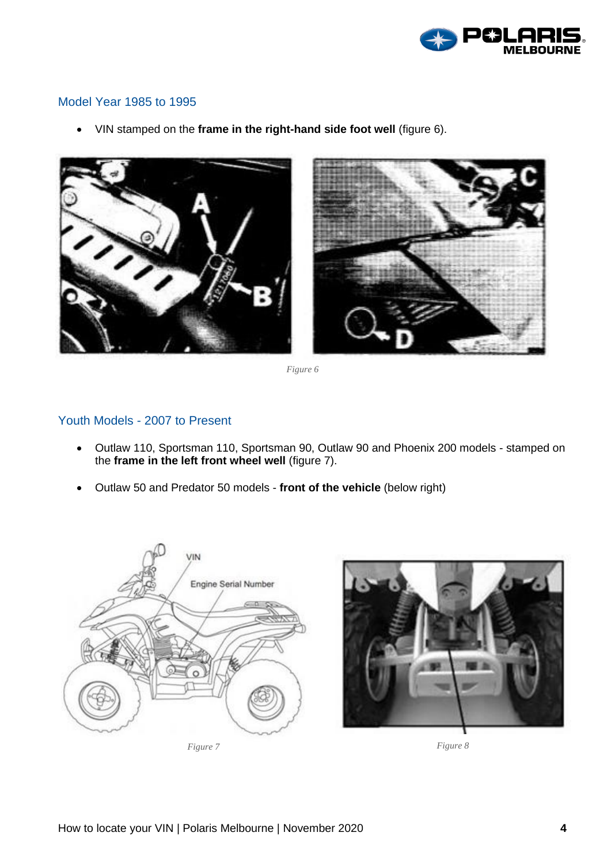

#### <span id="page-3-0"></span>Model Year 1985 to 1995

• VIN stamped on the **frame in the right-hand side foot well** (figure 6).



*Figure 6*

#### <span id="page-3-1"></span>Youth Models - 2007 to Present

- Outlaw 110, Sportsman 110, Sportsman 90, Outlaw 90 and Phoenix 200 models stamped on the **frame in the left front wheel well** (figure 7).
- Outlaw 50 and Predator 50 models **front of the vehicle** (below right)



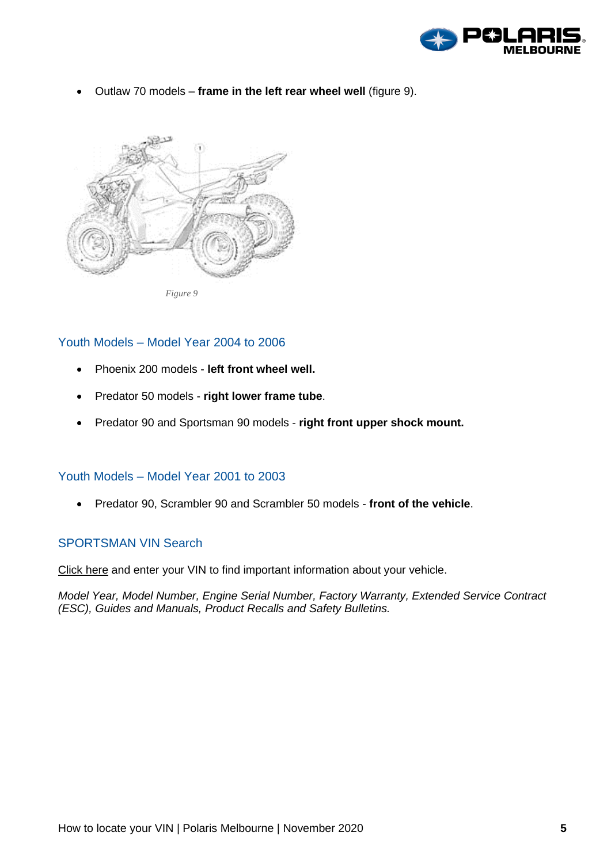

• Outlaw 70 models – **frame in the left rear wheel well** (figure 9).



*Figure 9*

#### <span id="page-4-0"></span>Youth Models – Model Year 2004 to 2006

- Phoenix 200 models **left front wheel well.**
- Predator 50 models **right lower frame tube**.
- Predator 90 and Sportsman 90 models **right front upper shock mount.**

#### <span id="page-4-1"></span>Youth Models – Model Year 2001 to 2003

• Predator 90, Scrambler 90 and Scrambler 50 models - **front of the vehicle**.

#### <span id="page-4-2"></span>SPORTSMAN VIN Search

[Click](https://atv.polaris.com/en-us/vin-search/) here and enter your VIN to find important information about your vehicle.

*Model Year, Model Number, Engine Serial Number, Factory Warranty, Extended Service Contract (ESC), Guides and Manuals, Product Recalls and Safety Bulletins.*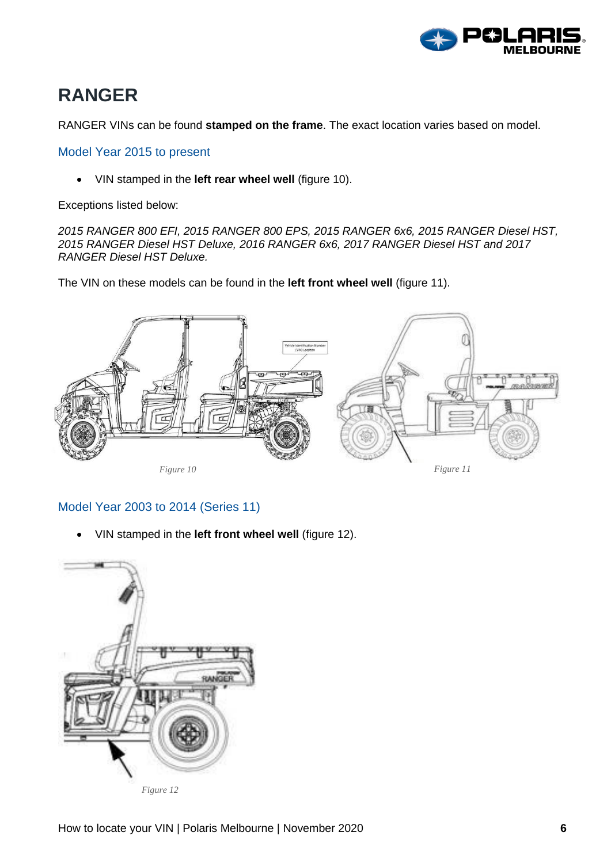

### <span id="page-5-0"></span>**RANGER**

RANGER VINs can be found **stamped on the frame**. The exact location varies based on model.

<span id="page-5-1"></span>Model Year 2015 to present

• VIN stamped in the **left rear wheel well** (figure 10).

Exceptions listed below:

*2015 RANGER 800 EFI, 2015 RANGER 800 EPS, 2015 RANGER 6x6, 2015 RANGER Diesel HST, 2015 RANGER Diesel HST Deluxe, 2016 RANGER 6x6, 2017 RANGER Diesel HST and 2017 RANGER Diesel HST Deluxe.*

The VIN on these models can be found in the **left front wheel well** (figure 11).



#### <span id="page-5-2"></span>Model Year 2003 to 2014 (Series 11)

• VIN stamped in the **left front wheel well** (figure 12).



*Figure 12*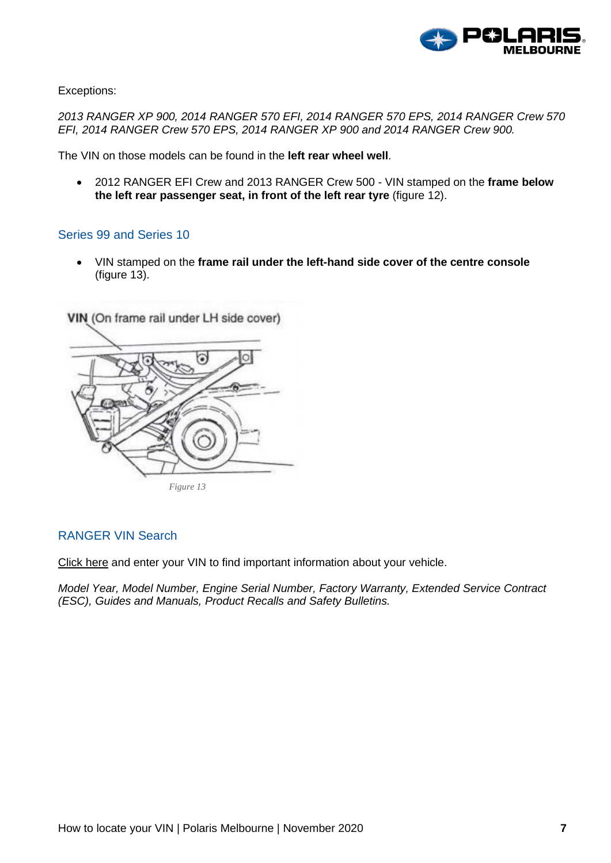

Exceptions:

*2013 RANGER XP 900, 2014 RANGER 570 EFI, 2014 RANGER 570 EPS, 2014 RANGER Crew 570 EFI, 2014 RANGER Crew 570 EPS, 2014 RANGER XP 900 and 2014 RANGER Crew 900.*

The VIN on those models can be found in the **left rear wheel well**.

• 2012 RANGER EFI Crew and 2013 RANGER Crew 500 - VIN stamped on the **frame below the left rear passenger seat, in front of the left rear tyre** (figure 12).

#### <span id="page-6-0"></span>Series 99 and Series 10

• VIN stamped on the **frame rail under the left-hand side cover of the centre console** (figure 13).



#### <span id="page-6-1"></span>RANGER VIN Search

[Click](https://ranger.polaris.com/en-us/vin-search/) here and enter your VIN to find important information about your vehicle.

*Model Year, Model Number, Engine Serial Number, Factory Warranty, Extended Service Contract (ESC), Guides and Manuals, Product Recalls and Safety Bulletins.*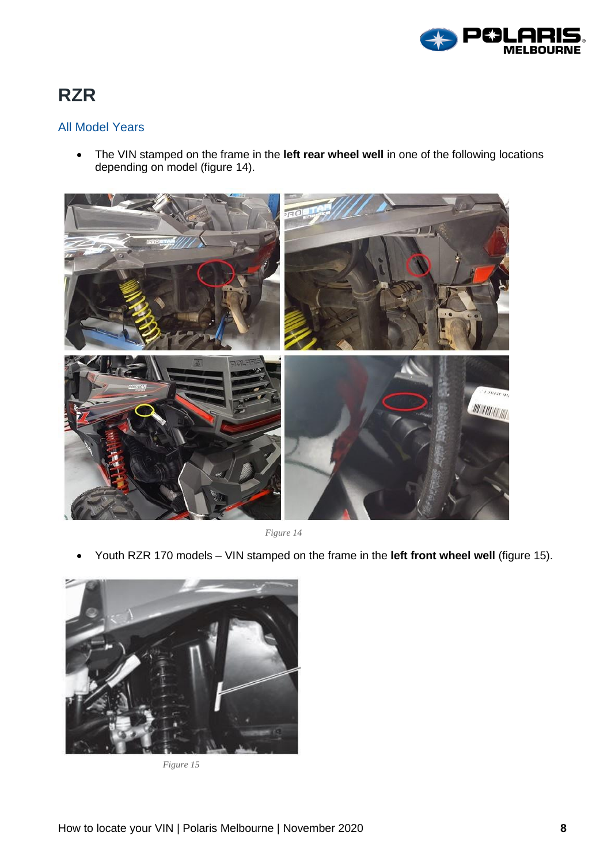

## <span id="page-7-0"></span>**RZR**

#### <span id="page-7-1"></span>All Model Years

• The VIN stamped on the frame in the **left rear wheel well** in one of the following locations depending on model (figure 14).



*Figure 14*

• Youth RZR 170 models – VIN stamped on the frame in the **left front wheel well** (figure 15).



*Figure 15*